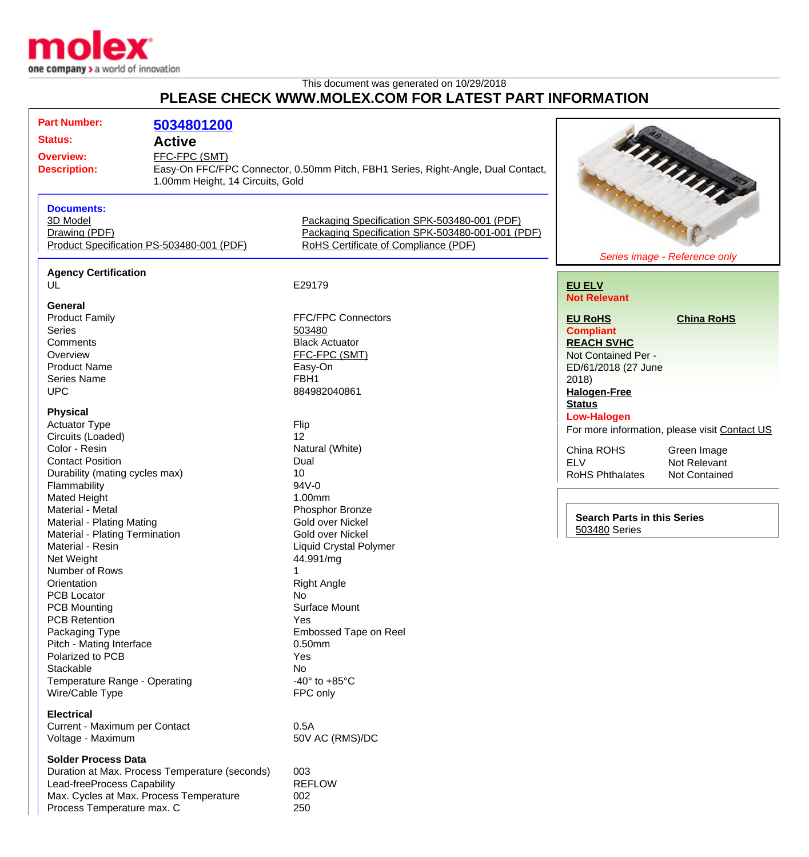

## This document was generated on 10/29/2018 **PLEASE CHECK WWW.MOLEX.COM FOR LATEST PART INFORMATION**

| <b>Part Number:</b>                            | 5034801200                                     |                                                                                  |                        |                                               |  |
|------------------------------------------------|------------------------------------------------|----------------------------------------------------------------------------------|------------------------|-----------------------------------------------|--|
| <b>Status:</b>                                 | <b>Active</b>                                  |                                                                                  |                        |                                               |  |
| <b>Overview:</b>                               | FFC-FPC (SMT)                                  |                                                                                  |                        |                                               |  |
| <b>Description:</b>                            |                                                | Easy-On FFC/FPC Connector, 0.50mm Pitch, FBH1 Series, Right-Angle, Dual Contact, |                        |                                               |  |
|                                                |                                                | 1.00mm Height, 14 Circuits, Gold                                                 |                        |                                               |  |
|                                                |                                                |                                                                                  |                        | Minnie                                        |  |
| <b>Documents:</b><br>3D Model                  |                                                | Packaging Specification SPK-503480-001 (PDF)                                     |                        |                                               |  |
| Drawing (PDF)                                  |                                                | Packaging Specification SPK-503480-001-001 (PDF)                                 |                        |                                               |  |
| Product Specification PS-503480-001 (PDF)      |                                                | RoHS Certificate of Compliance (PDF)                                             |                        |                                               |  |
|                                                |                                                |                                                                                  |                        | Series image - Reference only                 |  |
| <b>Agency Certification</b>                    |                                                |                                                                                  |                        |                                               |  |
| UL                                             |                                                | E29179                                                                           | <b>EU ELV</b>          |                                               |  |
| General                                        |                                                |                                                                                  | <b>Not Relevant</b>    |                                               |  |
| <b>Product Family</b>                          |                                                | <b>FFC/FPC Connectors</b>                                                        | <b>EU RoHS</b>         | <b>China RoHS</b>                             |  |
| <b>Series</b>                                  |                                                | 503480                                                                           | <b>Compliant</b>       |                                               |  |
| Comments                                       |                                                | <b>Black Actuator</b>                                                            | <b>REACH SVHC</b>      |                                               |  |
| Overview                                       |                                                | FFC-FPC (SMT)                                                                    | Not Contained Per -    |                                               |  |
| <b>Product Name</b>                            |                                                | Easy-On                                                                          | ED/61/2018 (27 June    |                                               |  |
| <b>Series Name</b>                             |                                                | FBH1                                                                             | 2018)                  |                                               |  |
| <b>UPC</b>                                     |                                                | 884982040861                                                                     |                        |                                               |  |
|                                                |                                                |                                                                                  | <b>Halogen-Free</b>    |                                               |  |
| <b>Physical</b>                                |                                                |                                                                                  | <b>Status</b>          |                                               |  |
| <b>Actuator Type</b>                           |                                                | Flip                                                                             | <b>Low-Halogen</b>     |                                               |  |
| Circuits (Loaded)                              |                                                | 12                                                                               |                        | For more information, please visit Contact US |  |
| Color - Resin                                  |                                                | Natural (White)                                                                  | China ROHS             |                                               |  |
| <b>Contact Position</b>                        |                                                | Dual                                                                             | <b>ELV</b>             | Green Image<br>Not Relevant                   |  |
|                                                |                                                | 10                                                                               |                        |                                               |  |
| Durability (mating cycles max)<br>Flammability |                                                | 94V-0                                                                            | <b>RoHS Phthalates</b> | Not Contained                                 |  |
| Mated Height                                   |                                                | 1.00mm                                                                           |                        |                                               |  |
| Material - Metal                               |                                                | Phosphor Bronze                                                                  |                        |                                               |  |
|                                                |                                                | Gold over Nickel                                                                 |                        | <b>Search Parts in this Series</b>            |  |
| <b>Material - Plating Mating</b>               |                                                | <b>Gold over Nickel</b>                                                          | 503480 Series          |                                               |  |
| Material - Plating Termination                 |                                                |                                                                                  |                        |                                               |  |
| Material - Resin                               |                                                | <b>Liquid Crystal Polymer</b>                                                    |                        |                                               |  |
| Net Weight                                     |                                                | 44.991/mg                                                                        |                        |                                               |  |
| Number of Rows                                 |                                                | 1                                                                                |                        |                                               |  |
| Orientation                                    |                                                | <b>Right Angle</b>                                                               |                        |                                               |  |
| <b>PCB Locator</b>                             |                                                | No                                                                               |                        |                                               |  |
| <b>PCB Mounting</b>                            |                                                | Surface Mount                                                                    |                        |                                               |  |
| <b>PCB Retention</b>                           |                                                | Yes                                                                              |                        |                                               |  |
| Packaging Type                                 |                                                | Embossed Tape on Reel                                                            |                        |                                               |  |
| Pitch - Mating Interface                       |                                                | 0.50mm                                                                           |                        |                                               |  |
| Polarized to PCB                               |                                                | Yes                                                                              |                        |                                               |  |
| Stackable                                      |                                                | No                                                                               |                        |                                               |  |
| Temperature Range - Operating                  |                                                | -40 $\degree$ to +85 $\degree$ C                                                 |                        |                                               |  |
| Wire/Cable Type                                |                                                | FPC only                                                                         |                        |                                               |  |
| <b>Electrical</b>                              |                                                |                                                                                  |                        |                                               |  |
| Current - Maximum per Contact                  |                                                | 0.5A                                                                             |                        |                                               |  |
| Voltage - Maximum                              |                                                | 50V AC (RMS)/DC                                                                  |                        |                                               |  |
| <b>Solder Process Data</b>                     |                                                |                                                                                  |                        |                                               |  |
|                                                | Duration at Max. Process Temperature (seconds) | 003                                                                              |                        |                                               |  |
| Lead-freeProcess Capability                    |                                                | <b>REFLOW</b>                                                                    |                        |                                               |  |
|                                                | Max. Cycles at Max. Process Temperature        | 002                                                                              |                        |                                               |  |
| Process Temperature max. C                     |                                                | 250                                                                              |                        |                                               |  |